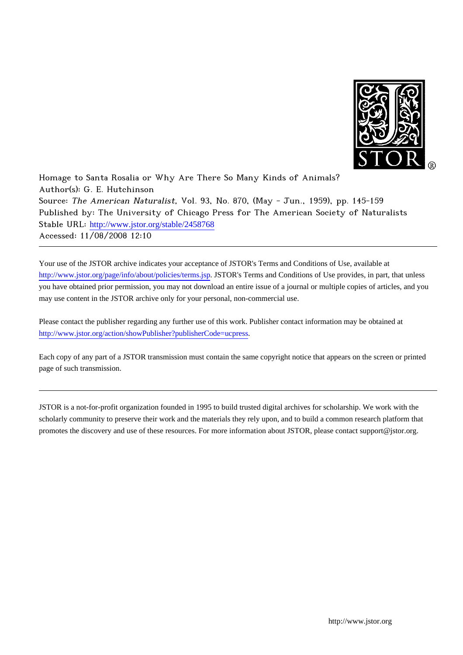

Homage to Santa Rosalia or Why Are There So Many Kinds of Animals? Author(s): G. E. Hutchinson Source: The American Naturalist, Vol. 93, No. 870, (May - Jun., 1959), pp. 145-159 Published by: The University of Chicago Press for The American Society of Naturalists Stable URL: [http://www.jstor.org/stable/2458768](http://www.jstor.org/stable/2458768?origin=JSTOR-pdf) Accessed: 11/08/2008 12:10

Your use of the JSTOR archive indicates your acceptance of JSTOR's Terms and Conditions of Use, available at <http://www.jstor.org/page/info/about/policies/terms.jsp>. JSTOR's Terms and Conditions of Use provides, in part, that unless you have obtained prior permission, you may not download an entire issue of a journal or multiple copies of articles, and you may use content in the JSTOR archive only for your personal, non-commercial use.

Please contact the publisher regarding any further use of this work. Publisher contact information may be obtained at [http://www.jstor.org/action/showPublisher?publisherCode=ucpress.](http://www.jstor.org/action/showPublisher?publisherCode=ucpress)

Each copy of any part of a JSTOR transmission must contain the same copyright notice that appears on the screen or printed page of such transmission.

JSTOR is a not-for-profit organization founded in 1995 to build trusted digital archives for scholarship. We work with the scholarly community to preserve their work and the materials they rely upon, and to build a common research platform that promotes the discovery and use of these resources. For more information about JSTOR, please contact support@jstor.org.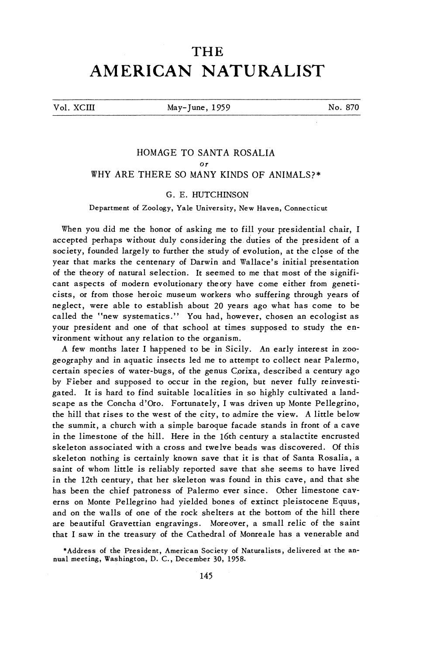# THE AMERICAN NATURALIST

Vol. XCIII

May-June, 1959

No. 870

## HOMAGE TO SANTA ROSALIA WHY ARE THERE SO MANY KINDS OF ANIMALS?\*

#### G. E. HUTCHINSON

#### Department of Zoology, Yale University, New Haven, Connecticut

When you did me the honor of asking me to fill your presidential chair, I accepted perhaps without duly considering the duties of the president of a society, founded largely to further the study of evolution, at the close of the year that marks the centenary of Darwin and Wallace's initial presentation of the theory of natural selection. It seemed to me that most of the significant aspects of modern evolutionary theory have come either from geneticists, or from those heroic museum workers who suffering through years of neglect, were able to establish about 20 years ago what has come to be called the "new systematics." You had, however, chosen an ecologist as your president and one of that school at times supposed to study the environment without any relation to the organism.

A few months later I happened to be in Sicily. An early interest in zoogeography and in aquatic insects led me to attempt to collect near Palermo, certain species of water-bugs, of the genus Corixa, described a century ago by Fieber and supposed to occur in the region, but never fully reinvestigated. It is hard to find suitable localities in so highly cultivated a landscape as the Concha d'Oro. Fortunately, I was driven up Monte Pellegrino, the hill that rises to the west of the city, to admire the view. A little below the summit, a church with a simple baroque facade stands in front of a cave in the limestone of the hill. Here in the 16th century a stalactite encrusted skeleton associated with a cross and twelve beads was discovered. Of this skeleton nothing is certainly known save that it is that of Santa Rosalia, a saint of whom little is reliably reported save that she seems to have lived in the 12th century, that her skeleton was found in this cave, and that she has been the chief patroness of Palermo ever since. Other limestone caverns on Monte Pellegrino had yielded bones of extinct pleistocene Equus, and on the walls of one of the rock shelters at the bottom of the hill there are beautiful Gravettian engravings. Moreover, a small relic of the saint that I saw in the treasury of the Cathedral of Monreale has a venerable and

\*Address of the President, American Society of Naturalists, delivered at the annual meeting, Washington, D. C., December 30, 1958.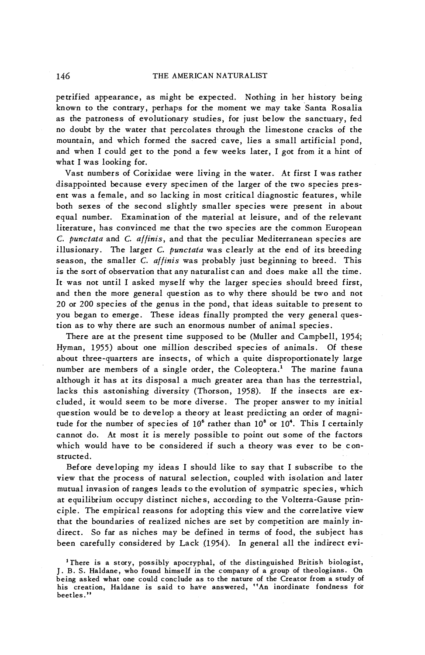petrified appearance, as might be expected. Nothing in her history being known to the contrary, perhaps for the moment we may take Santa Rosalia as the patroness of evolutionary studies, for just below the sanctuary, fed no doubt by the water that percolates through the limestone cracks of the mountain, and which formed the sacred cave, lies a small artificial pond, and when I could get to the pond a few weeks later, I got from it a hint of what I was looking for.

Vast numbers of Corixidae were living in the water. At first I was rather disappointed because every specimen of the larger of the two species present was a female, and so lacking in most critical diagnostic features, while both sexes of the second slightly smaller species were present in about equal number. Examination of the material at leisure, and of the relevant literature, has convinced me that the two species are the common European C. punctata and C. affinis, and that the peculiar Mediterranean species are illusionary. The larger C. punctata was clearly at the end of its breeding season, the smaller C. affinis was probably just beginning to breed. This is the sort of observation that any naturalist can and does make all the time. It was not until I asked myself why the larger species should breed first, and then the more general question as to why there should be two and not 20 or 200 species of the genus in the pond, that ideas suitable to present to you began to emerge. These ideas finally prompted the very general question as to why there are such an enormous number of animal species.

There are at the present time supposed to be (Muller and Campbell, 1954; Hyman, 1955) about one million described species of animals. Of these about three-quarters are insects, of which a quite disproportionately large number are members of a single order, the Coleoptera.<sup>1</sup> The marine fauna although it has at its disposal a much greater area than has the terrestrial, lacks this astonishing diversity (Thorson, 1958). If the insects are excluded, it would seem to be more diverse. The proper answer to my initial question would be to develop a theory at least predicting an order of magnitude for the number of species of 10<sup>6</sup> rather than 10<sup>8</sup> or 10<sup>4</sup>. This I certainly cannot do. At most it is merely possible to point out some of the factors which would have to be considered if such a theory was ever to be constructed.

Before developing my ideas I should like to say that I subscribe to the view that the process of natural selection, coupled with isolation and later mutual invasion of ranges leads to the evolution of sympatric species, which at equilibrium occupy distinct niches, according to the Volterra-Gause principle. The empirical reasons for adopting this view and the correlative view that the boundaries of realized niches are set by competition are mainly indirect. So far as niches may be defined in terms of food, the subject has been carefully considered by Lack (1954). In general all the indirect evi-

<sup>&</sup>lt;sup>1</sup>There is a story, possibly apocryphal, of the distinguished British biologist, J. B. S. Haldane, who found himself in the company of a group of theologians. On being asked what one could conclude as to the nature of the Creator from a study of his creation, Haldane is said to have answered, "An inordinate fondness for beetles."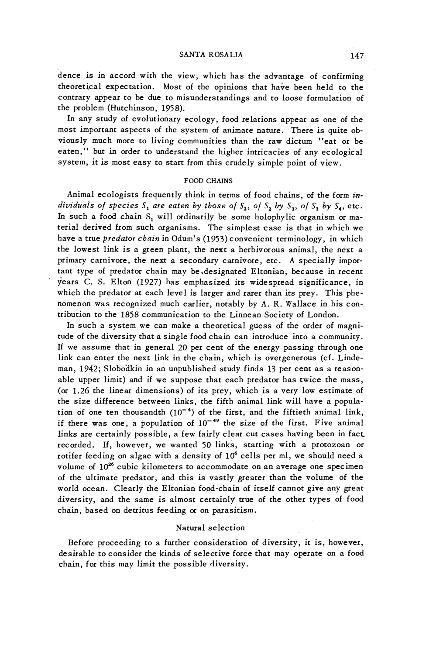dence is in accord with the view, which has the advantage of confirming theoretical expectation. Most of the opinions that have been held to the contrary appear to be due to misunderstandings and to loose formulation of the problem (Hutchinson, 1958).

In any study of evolutionary ecology, food relations appear as one of the most important aspects of the system of animate nature. There is quite obviously much more to living communities than the raw dictum "eat or be eaten," but in order to understand the higher intricacies of any ecological system, it is most easy to start from this crudely simple point of view.

#### **FOOD CHAINS**

Animal ecologists frequently think in terms of food chains, of the form individuals of species  $S_1$  are eaten by those of  $S_2$ , of  $S_2$  by  $S_3$ , of  $S_3$  by  $S_4$ , etc. In such a food chain  $S_1$  will ordinarily be some holophylic organism or material derived from such organisms. The simplest case is that in which we have a true *predator chain* in Odum's (1953) convenient terminology, in which the lowest link is a green plant, the next a herbivorous animal, the next a primary carnivore, the next a secondary carnivore, etc. A specially important type of predator chain may be designated Eltonian, because in recent years C. S. Elton (1927) has emphasized its widespread significance, in which the predator at each level is larger and rarer than its prey. This phenomenon was recognized much earlier, notably by A. R. Wallace in his contribution to the 1858 communication to the Linnean Society of London.

In such a system we can make a theoretical guess of the order of magnitude of the diversity that a single food chain can introduce into a community. If we assume that in general 20 per cent of the energy passing through one link can enter the next link in the chain, which is overgenerous (cf. Lindeman, 1942; Slobodkin in an unpublished study finds 13 per cent as a reasonable upper limit) and if we suppose that each predator has twice the mass, (or 1.26 the linear dimensions) of its prey, which is a very low estimate of the size difference between links, the fifth animal link will have a population of one ten thousandth  $(10^{-4})$  of the first, and the fiftieth animal link, if there was one, a population of  $10^{-49}$  the size of the first. Five animal links are certainly possible, a few fairly clear cut cases having been in fact. recorded. If, however, we wanted 50 links, starting with a protozoan or rotifer feeding on algae with a density of 10<sup>6</sup> cells per ml, we should need a volume of  $10^{26}$  cubic kilometers to accommodate on an average one specimen of the ultimate predator, and this is vastly greater than the volume of the world ocean. Clearly the Eltonian food-chain of itself cannot give any great diversity, and the same is almost certainly true of the other types of food chain, based on detritus feeding or on parasitism.

## Natural selection

Before proceeding to a further consideration of diversity, it is, however, desirable to consider the kinds of selective force that may operate on a food chain, for this may limit the possible diversity.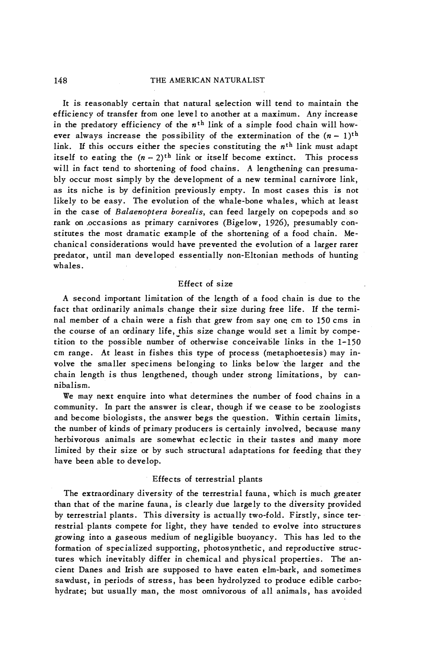It is reasonably certain that natural selection will tend to maintain the efficiency of transfer from one level to another at a maximum. Any increase in the predatory efficiency of the  $n<sup>th</sup>$  link of a simple food chain will however always increase the possibility of the extermination of the  $(n-1)$ <sup>th</sup> link. If this occurs either the species constituting the  $n<sup>th</sup>$  link must adapt itself to eating the  $(n-2)$ <sup>th</sup> link or itself become extinct. This process will in fact tend to shortening of food chains. A lengthening can presumably occur most simply by the development of a new terminal carnivore link, as its niche is by definition previously empty. In most cases this is not likely to be easy. The evolution of the whale-bone whales, which at least in the case of Balaenoptera borealis, can feed largely on copepods and so rank on occasions as primary carnivores (Bigelow, 1926), presumably constitutes the most dramatic example of the shortening of a food chain. Mechanical considerations would have prevented the evolution of a larger rarer predator, until man developed essentially non-Eltonian methods of hunting whales.

## Effect of size

A second important limitation of the length of a food chain is due to the fact that ordinarily animals change their size during free life. If the terminal member of a chain were a fish that grew from say one cm to 150 cms in the course of an ordinary life, this size change would set a limit by competition to the possible number of otherwise conceivable links in the 1-150 cm range. At least in fishes this type of process (metaphoetesis) may involve the smaller specimens belonging to links below the larger and the chain length is thus lengthened, though under strong limitations, by cannibalism.

We may next enquire into what determines the number of food chains in a community. In part the answer is clear, though if we cease to be zoologists and become biologists, the answer begs the question. Within certain limits, the number of kinds of primary producers is certainly involved, because many herbivorous animals are somewhat eclectic in their tastes and many more limited by their size or by such structural adaptations for feeding that they have been able to develop.

#### Effects of terrestrial plants

The extraordinary diversity of the terrestrial fauna, which is much greater than that of the marine fauna, is clearly due largely to the diversity provided by terrestrial plants. This diversity is actually two-fold. Firstly, since terrestrial plants compete for light, they have tended to evolve into structures growing into a gaseous medium of negligible buoyancy. This has led to the formation of specialized supporting, photosynthetic, and reproductive structures which inevitably differ in chemical and physical properties. The ancient Danes and Irish are supposed to have eaten elm-bark, and sometimes sawdust, in periods of stress, has been hydrolyzed to produce edible carbohydrate; but usually man, the most omnivorous of all animals, has avoided

148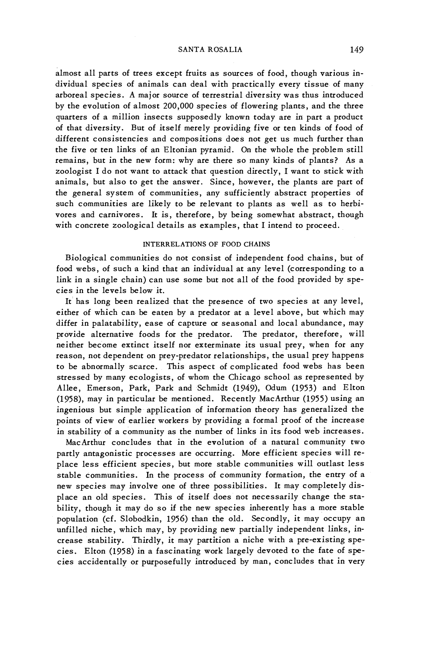#### SANTA ROSALIA

almost all parts of trees except fruits as sources of food, though various individual species of animals can deal with practically every tissue of many arboreal species. A major source of terrestrial diversity was thus introduced by the evolution of almost 200,000 species of flowering plants, and the three quarters of a million insects supposedly known today are in part a product of that diversity. But of itself merely providing five or ten kinds of food of different consistencies and compositions does not get us much further than the five or ten links of an Eltonian pyramid. On the whole the problem still remains, but in the new form: why are there so many kinds of plants? As a zoologist I do not want to attack that question directly, I want to stick with animals, but also to get the answer. Since, however, the plants are part of the general system of communities, any sufficiently abstract properties of such communities are likely to be relevant to plants as well as to herbivores and carnivores. It is, therefore, by being somewhat abstract, though with concrete zoological details as examples, that I intend to proceed.

## INTERRELATIONS OF FOOD CHAINS

Biological communities do not consist of independent food chains, but of food webs, of such a kind that an individual at any level (corresponding to a link in a single chain) can use some but not all of the food provided by species in the levels below it.

It has long been realized that the presence of two species at any level, either of which can be eaten by a predator at a level above, but which may differ in palatability, ease of capture or seasonal and local abundance, may provide alternative foods for the predator. The predator, therefore, will neither become extinct itself nor exterminate its usual prey, when for any reason, not dependent on prey-predator relationships, the usual prey happens to be abnormally scarce. This aspect of complicated food webs has been stressed by many ecologists, of whom the Chicago school as represented by Allee, Emerson, Park, Park and Schmidt (1949), Odum (1953) and Elton (1958), may in particular be mentioned. Recently MacArthur (1955) using an ingenious but simple application of information theory has generalized the points of view of earlier workers by providing a formal proof of the increase in stability of a community as the number of links in its food web increases.

MacArthur concludes that in the evolution of a natural community two partly antagonistic processes are occurring. More efficient species will replace less efficient species, but more stable communities will outlast less stable communities. In the process of community formation, the entry of a new species may involve one of three possibilities. It may completely displace an old species. This of itself does not necessarily change the stability, though it may do so if the new species inherently has a more stable population (cf. Slobodkin, 1956) than the old. Secondly, it may occupy an unfilled niche, which may, by providing new partially independent links, increase stability. Thirdly, it may partition a niche with a pre-existing species. Elton (1958) in a fascinating work largely devoted to the fate of species accidentally or purposefully introduced by man, concludes that in very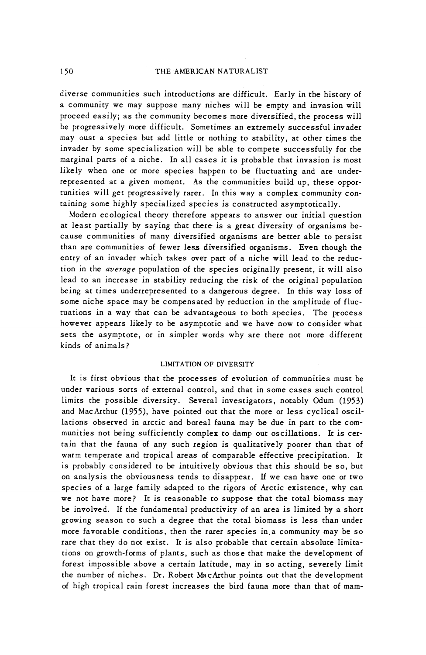## THE AMERICAN NATURALIST

diverse communities such introductions are difficult. Early in the history of a community we may suppose many niches will be empty and invasion will proceed easily; as the community becomes more diversified, the process will be progressively more difficult. Sometimes an extremely successful invader may oust a species but add little or nothing to stability, at other times the invader by some specialization will be able to compete successfully for the marginal parts of a niche. In all cases it is probable that invasion is most likely when one or more species happen to be fluctuating and are underrepresented at a given moment. As the communities build up, these opportunities will get progressively rarer. In this way a complex community containing some highly specialized species is constructed asymptotically.

Modern ecological theory therefore appears to answer our initial question at least partially by saying that there is a great diversity of organisms because communities of many diversified organisms are better able to persist than are communities of fewer less diversified organisms. Even though the entry of an invader which takes over part of a niche will lead to the reduction in the average population of the species originally present, it will also lead to an increase in stability reducing the risk of the original population being at times underrepresented to a dangerous degree. In this way loss of some niche space may be compensated by reduction in the amplitude of fluctuations in a way that can be advantageous to both species. The process however appears likely to be asymptotic and we have now to consider what sets the asymptote, or in simpler words why are there not more different kinds of animals?

## LIMITATION OF DIVERSITY

It is first obvious that the processes of evolution of communities must be under various sorts of external control, and that in some cases such control limits the possible diversity. Several investigators, notably Odum (1953) and MacArthur (1955), have pointed out that the more or less cyclical oscillations observed in arctic and boreal fauna may be due in part to the communities not being sufficiently complex to damp out oscillations. It is certain that the fauna of any such region is qualitatively poorer than that of warm temperate and tropical areas of comparable effective precipitation. It is probably considered to be intuitively obvious that this should be so, but on analysis the obviousness tends to disappear. If we can have one or two species of a large family adapted to the rigors of Arctic existence, why can we not have more? It is reasonable to suppose that the total biomass may be involved. If the fundamental productivity of an area is limited by a short growing season to such a degree that the total biomass is less than under more favorable conditions, then the rarer species in a community may be so rare that they do not exist. It is also probable that certain absolute limitations on growth-forms of plants, such as those that make the development of forest impossible above a certain latitude, may in so acting, severely limit the number of niches. Dr. Robert MacArthur points out that the development of high tropical rain forest increases the bird fauna more than that of mam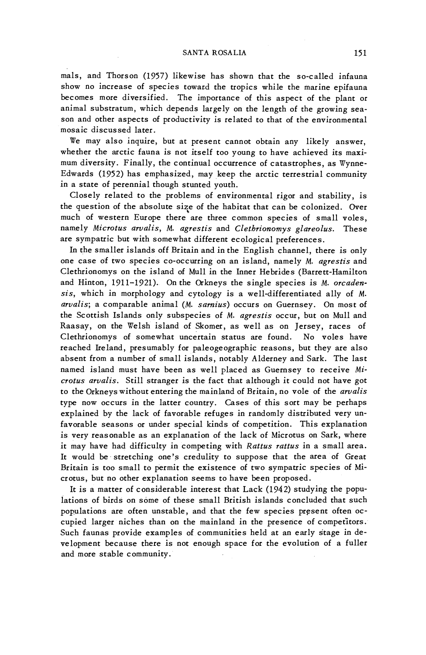mals, and Thorson (1957) likewise has shown that the so-called infauna show no increase of species toward the tropics while the marine epifauna becomes more diversified. The importance of this aspect of the plant or animal substratum, which depends largely on the length of the growing season and other aspects of productivity is related to that of the environmental mosaic discussed later.

We may also inquire, but at present cannot obtain any likely answer, whether the arctic fauna is not itself too young to have achieved its maximum diversity. Finally, the continual occurrence of catastrophes, as Wynne-Edwards (1952) has emphasized, may keep the arctic terrestrial community in a state of perennial though stunted youth.

Closely related to the problems of environmental rigor and stability, is the question of the absolute size of the habitat that can be colonized. Over much of western Europe there are three common species of small voles, namely Microtus arvalis, M. agrestis and Clethrionomys glareolus. These are sympatric but with somewhat different ecological preferences.

In the smaller islands off Britain and in the English channel, there is only one case of two species co-occurring on an island, namely M. agrestis and Clethrionomys on the island of Mull in the Inner Hebrides (Barrett-Hamilton and Hinton, 1911-1921). On the Orkneys the single species is M. orcadensis, which in morphology and cytology is a well-differentiated ally of M. arvalis; a comparable animal (M. sarnius) occurs on Guernsey. On most of the Scottish Islands only subspecies of M. agrestis occur, but on Mull and Raasay, on the Welsh island of Skomer, as well as on Jersey, races of No voles have Clethrionomys of somewhat uncertain status are found. reached Ireland, presumably for paleogeographic reasons, but they are also absent from a number of small islands, notably Alderney and Sark. The last named island must have been as well placed as Guernsey to receive Microtus arvalis. Still stranger is the fact that although it could not have got to the Orkneys without entering the mainland of Britain, no vole of the arvalis type now occurs in the latter country. Cases of this sort may be perhaps explained by the lack of favorable refuges in randomly distributed very unfavorable seasons or under special kinds of competition. This explanation is very reasonable as an explanation of the lack of Microtus on Sark, where it may have had difficulty in competing with Rattus rattus in a small area. It would be stretching one's credulity to suppose that the area of Great Britain is too small to permit the existence of two sympatric species of Microtus, but no other explanation seems to have been proposed.

It is a matter of considerable interest that Lack (1942) studying the populations of birds on some of these small British islands concluded that such populations are often unstable, and that the few species present often occupied larger niches than on the mainland in the presence of competitors. Such faunas provide examples of communities held at an early stage in development because there is not enough space for the evolution of a fuller and more stable community.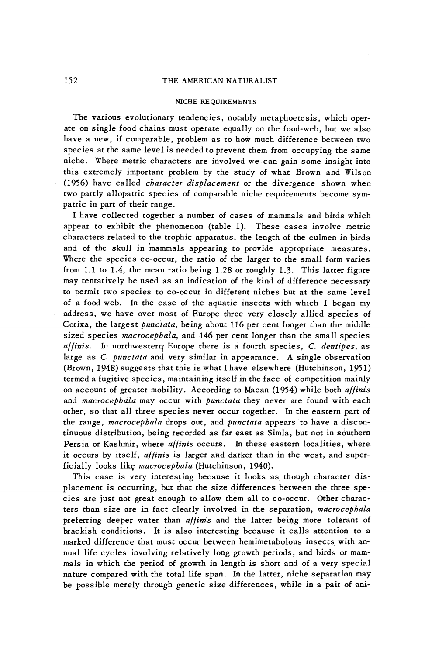## NICHE REQUIREMENTS

The various evolutionary tendencies, notably metaphoetesis, which operate on single food chains must operate equally on the food-web, but we also have a new, if comparable, problem as to how much difference between two species at the same level is needed to prevent them from occupying the same niche. Where metric characters are involved we can gain some insight into this extremely important problem by the study of what Brown and Wilson (1956) have called *character displacement* or the divergence shown when two partly allopatric species of comparable niche requirements become sympatric in part of their range.

I have collected together a number of cases of mammals and birds which appear to exhibit the phenomenon (table 1). These cases involve metric characters related to the trophic apparatus, the length of the culmen in birds and of the skull in mammals appearing to provide appropriate measures. Where the species co-occur, the ratio of the larger to the small form varies from 1.1 to 1.4, the mean ratio being 1.28 or roughly 1.3. This latter figure may tentatively be used as an indication of the kind of difference necessary to permit two species to co-occur in different niches but at the same level of a food-web. In the case of the aquatic insects with which I began my address, we have over most of Europe three very closely allied species of Corixa, the largest punctata, being about 116 per cent longer than the middle sized species macrocephala, and 146 per cent longer than the small species affinis. In northwestern Europe there is a fourth species, C. dentipes, as large as C. punctata and very similar in appearance. A single observation (Brown, 1948) suggests that this is what I have elsewhere (Hutchinson, 1951) termed a fugitive species, maintaining itself in the face of competition mainly on account of greater mobility. According to Macan (1954) while both affinis and macrocephala may occur with punctata they never are found with each other, so that all three species never occur together. In the eastern part of the range, macrocephala drops out, and punctata appears to have a discontinuous distribution, being recorded as far east as Simla, but not in southern Persia or Kashmir, where affinis occurs. In these eastern localities, where it occurs by itself, affinis is larger and darker than in the west, and superficially looks like macrocephala (Hutchinson, 1940).

This case is very interesting because it looks as though character displacement is occurring, but that the size differences between the three species are just not great enough to allow them all to co-occur. Other characters than size are in fact clearly involved in the separation, macrocephala preferring deeper water than affinis and the latter being more tolerant of brackish conditions. It is also interesting because it calls attention to a marked difference that must occur between hemimetabolous insects with annual life cycles involving relatively long growth periods, and birds or mammals in which the period of growth in length is short and of a very special nature compared with the total life span. In the latter, niche separation may be possible merely through genetic size differences, while in a pair of ani-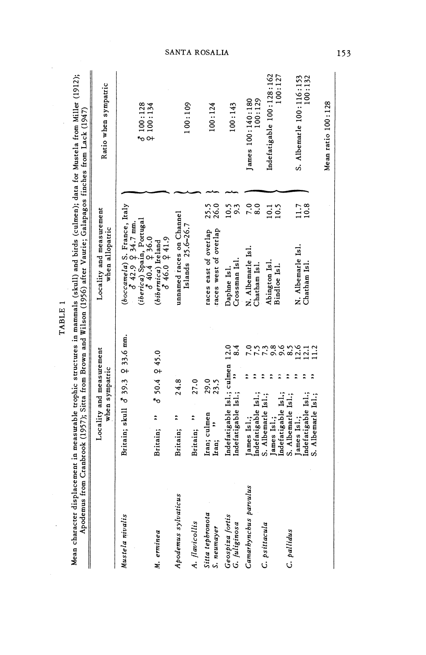| Apodemus from                    | Mean character displacement in measurable trophic structures in mammals (skull) and birds (culmen); data for Mustela from Miller (1912);<br>Cranbrook (1957); Sitta from Brown and Wilson (1956) after Vaurie; Galapagos finches from Lack (1947) |                                                                                                                           |                                      |
|----------------------------------|---------------------------------------------------------------------------------------------------------------------------------------------------------------------------------------------------------------------------------------------------|---------------------------------------------------------------------------------------------------------------------------|--------------------------------------|
|                                  | Locality and measurement<br>when sympatric                                                                                                                                                                                                        | Locality and measurement<br>when allopatric                                                                               | Ratio when sympatric                 |
| Mustela nivalis                  | Britain; skull 8 39.3 2 33.6 mm.                                                                                                                                                                                                                  | $(boccane la)$ S. France, Italy<br>$\delta$ 42.9 $\Omega$ 34.7 mm.<br>$(b)$ $(b)$ $(c)$ $(d)$ $d$ $s$ $s$ $s$ $s$ $s$ $s$ | $\frac{3}{4}$ 100:128                |
| M. erminea                       | 350.49445.0<br>$\ddot{\cdot}$<br>Britain;                                                                                                                                                                                                         | ( <i>bibernica</i> ) Ireland<br>$\delta$ 46.0 $\frac{1}{4}$ 41.9                                                          |                                      |
| Apodemus sylvaticus              | 24.8<br>$\ddot{\cdot}$<br>Britain;                                                                                                                                                                                                                | unnamed races on Channel<br>$Is$ lands $25.6 - 26.7$                                                                      | 100:109                              |
| A. flavicollis                   | 27.0<br>$\ddot{\cdot}$<br>Britain;                                                                                                                                                                                                                |                                                                                                                           |                                      |
| Sitta tephronota<br>S. neumayer  | 29.0<br>23.5<br>Iran; culmen<br>$\ddot{\cdot}$<br>Iran;                                                                                                                                                                                           | 25.5<br>26.0<br>races west of overlap<br>races east of overlap                                                            | 100:124                              |
| Geospiza fortis<br>G. fuliginosa | Indefatigable Isl.; culmen 12.0<br>8.4<br>Indefatigable Isl.;                                                                                                                                                                                     | 10.5<br>9.3<br>Crossman Isl.<br>Daphne Isl.                                                                               | 100:143                              |
| Camarhynchus parvulus            | Indefatigable Isl.;<br>James Isl.;                                                                                                                                                                                                                | $7.0$<br>8.0<br>N. Albemarle Isl.<br>Chatham Isl.                                                                         | 100:129<br>James 100:140:180         |
| C. psittacula                    | onnoo<br>Onnoo<br>S. Albemarle Isl.;<br>James Isl.;                                                                                                                                                                                               | 10.5<br>10.1<br>Abington Isl.<br>Bindloe Isl.                                                                             | Indefatigable 100:128:162<br>100:127 |
| C. pallidus                      | 8.5<br>Indefatigable Isl.;<br>S. Albemarle Isl.;                                                                                                                                                                                                  |                                                                                                                           |                                      |
|                                  | 12.5<br>11.1<br>11.2<br>Indefatigable Isl.;<br>S. Albemarle Isl.;<br>ames Isl.;                                                                                                                                                                   | 10.8<br>11.7<br>N. Albemarle Isl.<br>Chatham Isl.                                                                         | 100:132<br>S. Albemarle 100:116:153  |
|                                  |                                                                                                                                                                                                                                                   |                                                                                                                           | Mean ratio 100:128                   |

TABLE 1

153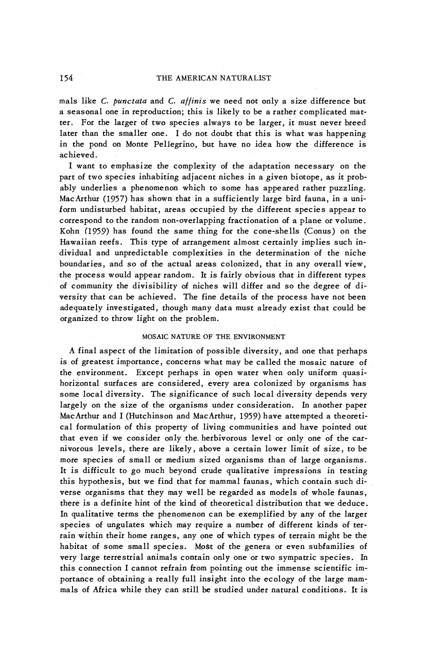#### THE AMERICAN NATURALIST

mals like C. punctata and C. affinis we need not only a size difference but a seasonal one in reproduction; this is likely to be a rather complicated matter. For the larger of two species always to be larger, it must never breed later than the smaller one. I do not doubt that this is what was happening in the pond on Monte Pellegrino, but have no idea how the difference is achieved.

I want to emphasize the complexity of the adaptation necessary on the part of two species inhabiting adjacent niches in a given biotope, as it probably underlies a phenomenon which to some has appeared rather puzzling. MacArthur (1957) has shown that in a sufficiently large bird fauna, in a uniform undisturbed habitat, areas occupied by the different species appear to correspond to the random non-overlapping fractionation of a plane or volume. Kohn (1959) has found the same thing for the cone-shells (Conus) on the Hawaiian reefs. This type of arrangement almost certainly implies such individual and unpredictable complexities in the determination of the niche boundaries, and so of the actual areas colonized, that in any overall view, the process would appear random. It is fairly obvious that in different types of community the divisibility of niches will differ and so the degree of diversity that can be achieved. The fine details of the process have not been adequately investigated, though many data must already exist that could be organized to throw light on the problem.

#### MOSAIC NATURE OF THE ENVIRONMENT

A final aspect of the limitation of possible diversity, and one that perhaps is of greatest importance, concerns what may be called the mosaic nature of the environment. Except perhaps in open water when only uniform quasihorizontal surfaces are considered, every area colonized by organisms has some local diversity. The significance of such local diversity depends very largely on the size of the organisms under consideration. In another paper MacArthur and I (Hutchinson and MacArthur, 1959) have attempted a theoretical formulation of this property of living communities and have pointed out that even if we consider only the herbivorous level or only one of the carnivorous levels, there are likely, above a certain lower limit of size, to be more species of small or medium sized organisms than of large organisms. It is difficult to go much beyond crude qualitative impressions in testing this hypothesis, but we find that for mammal faunas, which contain such diverse organisms that they may well be regarded as models of whole faunas, there is a definite hint of the kind of theoretical distribution that we deduce. In qualitative terms the phenomenon can be exemplified by any of the larger species of ungulates which may require a number of different kinds of terrain within their home ranges, any one of which types of terrain might be the habitat of some small species. Most of the genera or even subfamilies of very large terrestrial animals contain only one or two sympatric species. In this connection I cannot refrain from pointing out the immense scientific importance of obtaining a really full insight into the ecology of the large mammals of Africa while they can still be studied under natural conditions. It is

154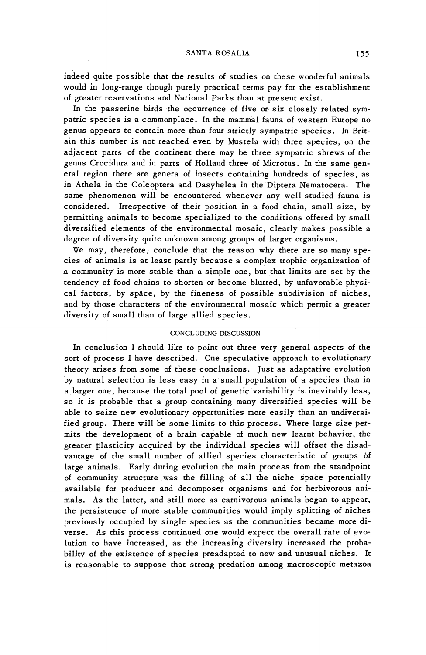#### SANTA ROSALIA

indeed quite possible that the results of studies on these wonderful animals would in long-range though purely practical terms pay for the establishment of greater reservations and National Parks than at present exist.

In the passerine birds the occurrence of five or six closely related sympatric species is a commonplace. In the mammal fauna of western Europe no genus appears to contain more than four strictly sympatric species. In Britain this number is not reached even by Mustela with three species, on the adjacent parts of the continent there may be three sympatric shrews of the genus Crocidura and in parts of Holland three of Microtus. In the same general region there are genera of insects containing hundreds of species, as in Athela in the Coleoptera and Dasyhelea in the Diptera Nematocera. The same phenomenon will be encountered whenever any well-studied fauna is considered. Irrespective of their position in a food chain, small size, by permitting animals to become specialized to the conditions offered by small diversified elements of the environmental mosaic, clearly makes possible a degree of diversity quite unknown among groups of larger organisms.

We may, therefore, conclude that the reason why there are so many species of animals is at least partly because a complex trophic organization of a community is more stable than a simple one, but that limits are set by the tendency of food chains to shorten or become blurred, by unfavorable physical factors, by space, by the fineness of possible subdivision of niches, and by those characters of the environmental mosaic which permit a greater diversity of small than of large allied species.

## CONCLUDING DISCUSSION

In conclusion I should like to point out three very general aspects of the sort of process I have described. One speculative approach to evolutionary theory arises from some of these conclusions. Just as adaptative evolution by natural selection is less easy in a small population of a species than in a larger one, because the total pool of genetic variability is inevitably less, so it is probable that a group containing many diversified species will be able to seize new evolutionary opportunities more easily than an undiversified group. There will be some limits to this process. Where large size permits the development of a brain capable of much new learnt behavior, the greater plasticity acquired by the individual species will offset the disadvantage of the small number of allied species characteristic of groups of large animals. Early during evolution the main process from the standpoint of community structure was the filling of all the niche space potentially available for producer and decomposer organisms and for herbivorous animals. As the latter, and still more as carnivorous animals began to appear, the persistence of more stable communities would imply splitting of niches previously occupied by single species as the communities became more diverse. As this process continued one would expect the overall rate of evolution to have increased, as the increasing diversity increased the probability of the existence of species preadapted to new and unusual niches. It is reasonable to suppose that strong predation among macroscopic metazoa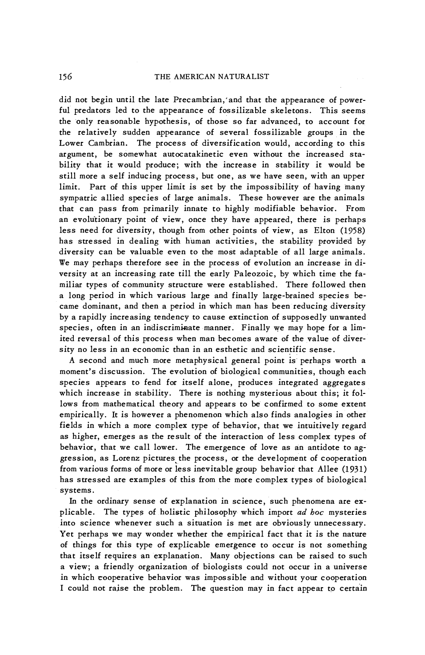did not begin until the late Precambrian, and that the appearance of powerful predators led to the appearance of fossilizable skeletons. This seems the only reasonable hypothesis, of those so far advanced, to account for the relatively sudden appearance of several fossilizable groups in the Lower Cambrian. The process of diversification would, according to this argument, be somewhat autocatakinetic even without the increased stability that it would produce; with the increase in stability it would be still more a self inducing process, but one, as we have seen, with an upper limit. Part of this upper limit is set by the impossibility of having many sympatric allied species of large animals. These however are the animals that can pass from primarily innate to highly modifiable behavior. From an evolutionary point of view, once they have appeared, there is perhaps less need for diversity, though from other points of view, as Elton (1958) has stressed in dealing with human activities, the stability provided by diversity can be valuable even to the most adaptable of all large animals. We may perhaps therefore see in the process of evolution an increase in diversity at an increasing rate till the early Paleozoic, by which time the familiar types of community structure were established. There followed then a long period in which various large and finally large-brained species became dominant, and then a period in which man has been reducing diversity by a rapidly increasing tendency to cause extinction of supposedly unwanted species, often in an indiscriminate manner. Finally we may hope for a limited reversal of this process when man becomes aware of the value of diversity no less in an economic than in an esthetic and scientific sense.

A second and much more metaphysical general point is perhaps worth a moment's discussion. The evolution of biological communities, though each species appears to fend for itself alone, produces integrated aggregates which increase in stability. There is nothing mysterious about this; it follows from mathematical theory and appears to be confirmed to some extent empirically. It is however a phenomenon which also finds analogies in other fields in which a more complex type of behavior, that we intuitively regard as higher, emerges as the result of the interaction of less complex types of behavior, that we call lower. The emergence of love as an antidote to aggression, as Lorenz pictures the process, or the development of cooperation from various forms of more or less inevitable group behavior that Allee (1931) has stressed are examples of this from the more complex types of biological systems.

In the ordinary sense of explanation in science, such phenomena are explicable. The types of holistic philosophy which import ad boc mysteries into science whenever such a situation is met are obviously unnecessary. Yet perhaps we may wonder whether the empirical fact that it is the nature of things for this type of explicable emergence to occur is not something that itself requires an explanation. Many objections can be raised to such a view; a friendly organization of biologists could not occur in a universe in which cooperative behavior was impossible and without your cooperation I could not raise the problem. The question may in fact appear to certain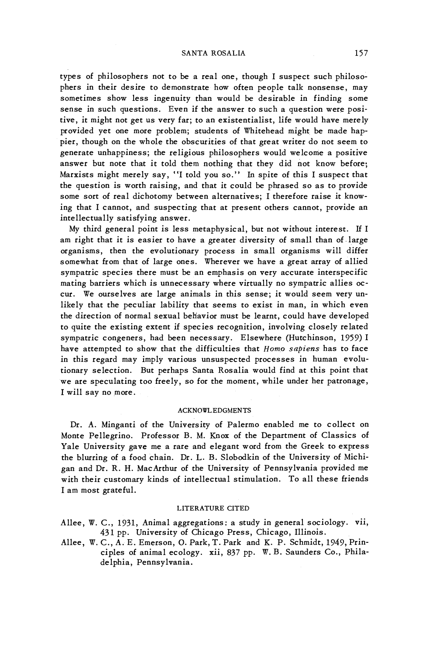## SANTA ROSALIA

types of philosophers not to be a real one, though I suspect such philosophers in their desire to demonstrate how often people talk nonsense, may sometimes show less ingenuity than would be desirable in finding some sense in such questions. Even if the answer to such a question were positive, it might not get us very far; to an existentialist, life would have merely provided yet one more problem; students of Whitehead might be made happier, though on the whole the obscurities of that great writer do not seem to generate unhappiness; the religious philosophers would welcome a positive answer but note that it told them nothing that they did not know before; Marxists might merely say, "I told you so." In spite of this I suspect that the question is worth raising, and that it could be phrased so as to provide some sort of real dichotomy between alternatives; I therefore raise it knowing that I cannot, and suspecting that at present others cannot, provide an intellectually satisfying answer.

My third general point is less metaphysical, but not without interest. If I am right that it is easier to have a greater diversity of small than of large organisms, then the evolutionary process in small organisms will differ somewhat from that of large ones. Wherever we have a great array of allied sympatric species there must be an emphasis on very accurate interspecific mating barriers which is unnecessary where virtually no sympatric allies occur. We ourselves are large animals in this sense; it would seem very unlikely that the peculiar lability that seems to exist in man, in which even the direction of normal sexual behavior must be learnt, could have developed to quite the existing extent if species recognition, involving closely related sympatric congeners, had been necessary. Elsewhere (Hutchinson, 1959) I have attempted to show that the difficulties that Homo sapiens has to face in this regard may imply various unsuspected processes in human evolutionary selection. But perhaps Santa Rosalia would find at this point that we are speculating too freely, so for the moment, while under her patronage, I will say no more.

#### **ACKNOWLEDGMENTS**

Dr. A. Minganti of the University of Palermo enabled me to collect on Monte Pellegrino. Professor B. M. Knox of the Department of Classics of Yale University gave me a rare and elegant word from the Greek to express the blurring of a food chain. Dr. L. B. Slobodkin of the University of Michigan and Dr. R. H. MacArthur of the University of Pennsylvania provided me with their customary kinds of intellectual stimulation. To all these friends I am most grateful.

## LITERATURE CITED

Allee, W. C., 1931, Animal aggregations: a study in general sociology. vii, 431 pp. University of Chicago Press, Chicago, Illinois.

Allee, W. C., A. E. Emerson, O. Park, T. Park and K. P. Schmidt, 1949, Principles of animal ecology. xii, 837 pp. W. B. Saunders Co., Philadelphia, Pennsylvania.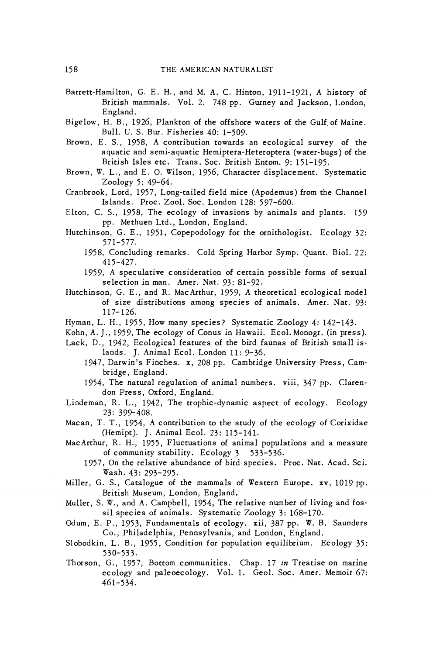- Barrett-Hamilton, G. E. H., and M. A. C. Hinton, 1911-1921, A history of British mammals. Vol. 2. 748 pp. Gurney and Jackson, London, England.
- Bigelow, H. B., 1926, Plankton of the offshore waters of the Gulf of Maine. Bull. U. S. Bur. Fisheries 40: 1-509.
- Brown, E. S., 1958, A contribution towards an ecological survey of the aquatic and semi-aquatic Hemiptera-Heteroptera (water-bugs) of the British Isles etc. Trans. Soc. British Entom. 9: 151-195.
- Brown, W. L., and E. O. Wilson, 1956, Character displacement. Systematic Zoology 5: 49-64.
- Cranbrook, Lord, 1957, Long-tailed field mice (Apodemus) from the Channel Islands. Proc. Zool. Soc. London 128: 597-600.
- Elton, C. S., 1958, The ecology of invasions by animals and plants. 159 pp. Methuen Ltd., London, England.
- Hutchinson, G. E., 1951, Copepodology for the ornithologist. Ecology 32:  $571 - 577.$ 
	- 1958, Concluding remarks. Cold Spring Harbor Symp. Quant. Biol. 22:  $415 - 427$ .
	- 1959, A speculative consideration of certain possible forms of sexual selection in man. Amer. Nat. 93: 81-92.
- Hutchinson, G. E., and R. MacArthur, 1959, A theoretical ecological model of size distributions among species of animals. Amer. Nat. 93:  $117 - 126.$
- Hyman, L. H., 1955, How many species? Systematic Zoology 4: 142-143.
- Kohn, A. J., 1959, The ecology of Conus in Hawaii. Ecol. Monogr. (in press).
- Lack, D., 1942, Ecological features of the bird faunas of British small islands. J. Animal Ecol. London 11: 9-36.
	- 1947, Darwin's Finches. x, 208 pp. Cambridge University Press, Cambridge, England.
	- 1954, The natural regulation of animal numbers. viii, 347 pp. Clarendon Press, Oxford, England.
- Lindeman, R. L., 1942, The trophic-dynamic aspect of ecology. Ecology  $23:399-408.$
- Macan, T. T., 1954, A contribution to the study of the ecology of Corixidae (Hemipt). J. Animal Ecol. 23: 115-141.
- MacArthur, R. H., 1955, Fluctuations of animal populations and a measure of community stability. Ecology 3 533–536.
	- 1957, On the relative abundance of bird species. Proc. Nat. Acad. Sci. Wash. 43: 293-295.
- Miller, G. S., Catalogue of the mammals of Western Europe. xv, 1019 pp. British Museum, London, England.
- Muller, S. W., and A. Campbell, 1954, The relative number of living and fossil species of animals. Systematic Zoology 3: 168-170.
- Odum, E. P., 1953, Fundamentals of ecology. xii, 387 pp. W. B. Saunders Co., Philadelphia, Pennsylvania, and London, England.
- Slobodkin, L. B., 1955, Condition for population equilibrium. Ecology 35:  $530 - 533.$
- Thorson, G., 1957, Bottom communities. Chap. 17 in Treatise on marine ecology and paleoecology. Vol. 1. Geol. Soc. Amer. Memoir 67:  $461 - 534.$